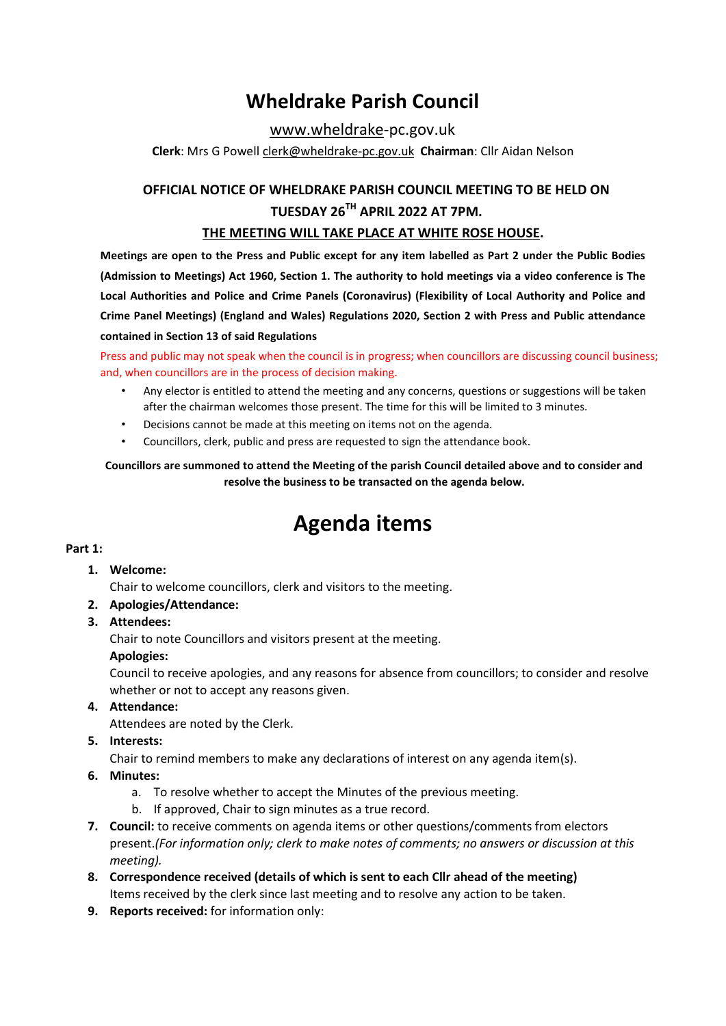## **Wheldrake Parish Council**

[www.wheldrake-](http://www.wheldrake/)[pc.gov.uk](http://www.wheldrake-pc.gov.uk/)

**Clerk**: Mrs G Powell [clerk@wheldrake-pc.gov.uk](mailto:clerk@wheldrake-pc.gov.uk) **Chairman**: Cllr Aidan Nelson

## **OFFICIAL NOTICE OF WHELDRAKE PARISH COUNCIL MEETING TO BE HELD ON TUESDAY 26TH APRIL 2022 AT 7PM.**

## **THE MEETING WILL TAKE PLACE AT WHITE ROSE HOUSE.**

**Meetings are open to the Press and Public except for any item labelled as Part 2 under the Public Bodies (Admission to Meetings) Act 1960, Section 1. The authority to hold meetings via a video conference is The Local Authorities and Police and Crime Panels (Coronavirus) (Flexibility of Local Authority and Police and Crime Panel Meetings) (England and Wales) Regulations 2020, Section 2 with Press and Public attendance contained in Section 13 of said Regulations** 

Press and public may not speak when the council is in progress; when councillors are discussing council business; and, when councillors are in the process of decision making.

- Any elector is entitled to attend the meeting and any concerns, questions or suggestions will be taken after the chairman welcomes those present. The time for this will be limited to 3 minutes.
- Decisions cannot be made at this meeting on items not on the agenda.
- Councillors, clerk, public and press are requested to sign the attendance book.

## **Councillors are summoned to attend the Meeting of the parish Council detailed above and to consider and resolve the business to be transacted on the agenda below.**

# **Agenda items**

## **Part 1:**

## **1. Welcome:**

Chair to welcome councillors, clerk and visitors to the meeting.

- **2. Apologies/Attendance:**
- **3. Attendees:**

Chair to note Councillors and visitors present at the meeting.

#### **Apologies:**

Council to receive apologies, and any reasons for absence from councillors; to consider and resolve whether or not to accept any reasons given.

## **4. Attendance:**

Attendees are noted by the Clerk.

## **5. Interests:**

Chair to remind members to make any declarations of interest on any agenda item(s).

- **6. Minutes:** 
	- a. To resolve whether to accept the Minutes of the previous meeting.
	- b. If approved, Chair to sign minutes as a true record.
- **7. Council:** to receive comments on agenda items or other questions/comments from electors present.*(For information only; clerk to make notes of comments; no answers or discussion at this meeting).*
- **8. Correspondence received (details of which is sent to each Cllr ahead of the meeting)**  Items received by the clerk since last meeting and to resolve any action to be taken.
- **9. Reports received:** for information only: